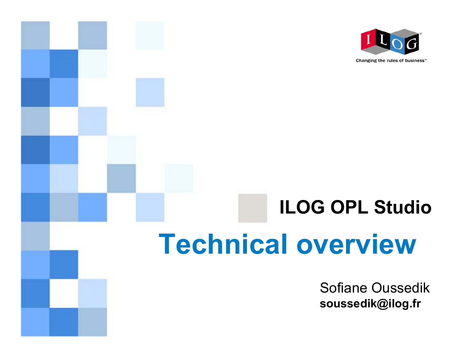

# **ILOG OPL StudioTechnical overview**

Sofiane Oussedik **soussedik@ilog.f r**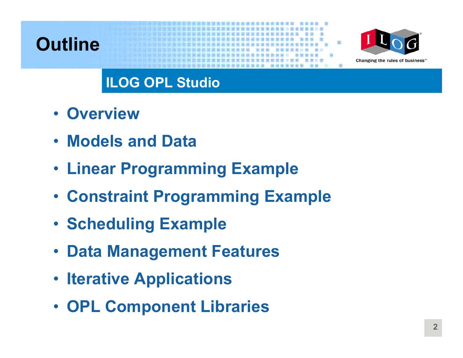### **Outline**



### **ILOG OPL Studio**

- **Overview**
- **Models and Data**
- **Linear Programming Example**
- **Constraint Programming Example**
- **Scheduling Example**
- **Data Management Features**
- **Iterative Applications**
- **OPL Component Libraries**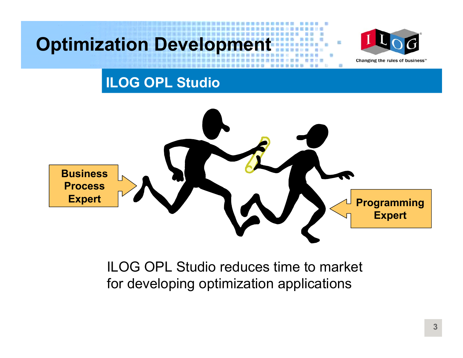### **Optimization Development**



Changing the rules of business"

### **ILOG OPL Studio**



#### ILOG OPL Studio reduces time to market for developing optimization applications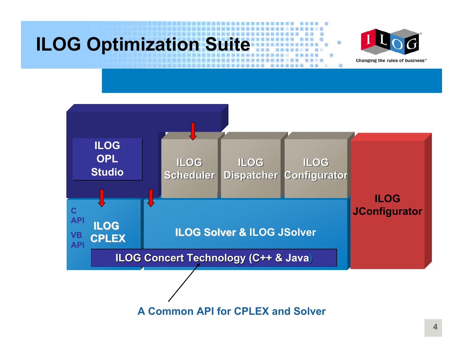## **ILOG Optimization Suite**





**A CommonAPI for CPLEX andSolver**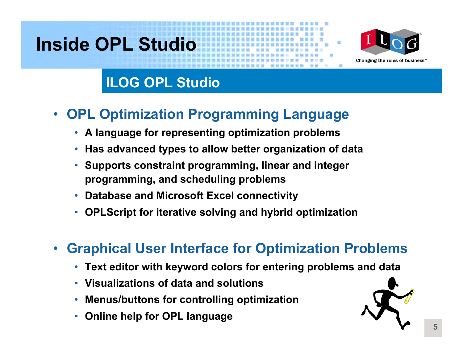### **Inside OPL Studio**



### **ILOG OPL Studio**

#### $\bullet$ **OPL Optimization Programming Language**

- **A language for representing optimization problems**
- $\bullet$ **Has advanced types to allow better organization of data**
- **Supports constraint programming, linear and integer programming, and scheduling problems**
- •**Database and Microsoft Excel connectivity**
- $\bullet$ **OPLScript for iterative solving and hybrid optimization**

#### $\bullet$ **Graphical User Interface for Optimization Problems**

- **Text editor with keyword colors for entering problems and data**
- **Visualizations of data and solutions**
- **Menus/buttons for controlling optimization**
- •**Online help for OPL language**

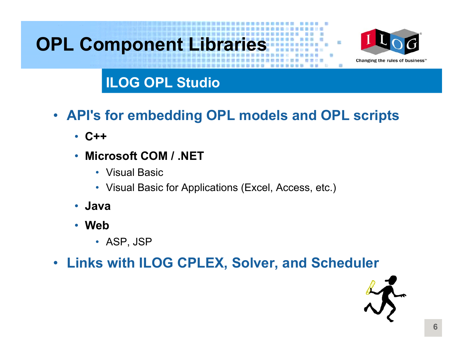# **OPL Component Libraries**



#### **ILOG OPL Studio**

- **API's for embedding OPL models and OPL scripts**
	- **C++**
	- $\bullet$  **Microsoft COM / .NET**
		- Visual Basic
		- Visual Basic for Applications (Excel, Access, etc.)
	- **Java**
	- **Web**
		- ASP, JSP
- **Links with ILOG CPLEX, Solver, and Scheduler**

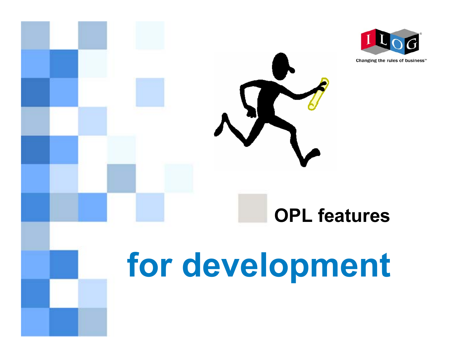

Changing the rules of business"

# **OPL features**

# **for development**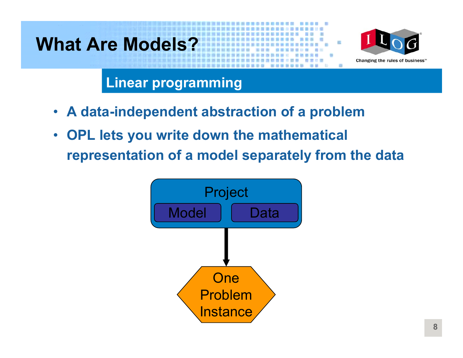### **What Are Models?**



**Linear programming**

- $\bullet$ **A data-independent abstraction of a problem**
- $\bullet$  **OPL lets you write down the mathematical representation of a model separately from the data**

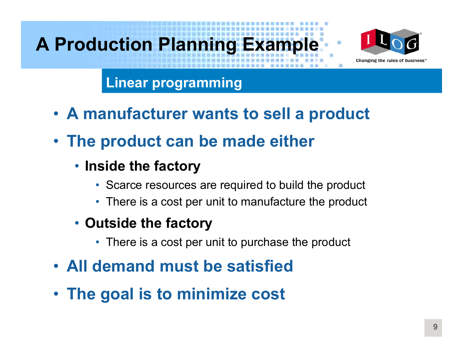# **A Production Planning Example**



**Linear programming**

- **A manufacturer wants to sell a product**
- **The product can be made either**
	- **Inside the factory**
		- Scarce resources are required to build the product
		- There is a cost per unit to manufacture the product
	- **Outside the factory**
		- There is a cost per unit to purchase the product
- **All demand must be satisfied**
- **The goal is to minimize cost**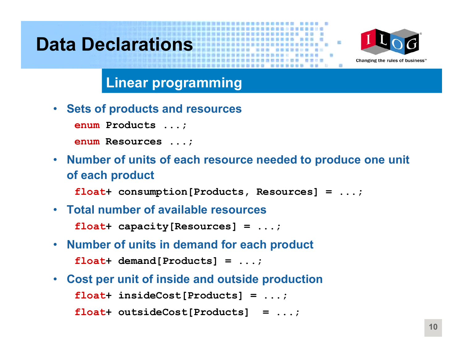### **Data Declarations**



#### **Linear programming**

 $\bullet$ **Sets of products and resources**

**enum Products ...;**

**enum Resources ...;**

• **Number of units of each resource needed to produce one unit of each product**

**float+ consumption[Products, Resources] = ...;**

• **Total number of available resources**

**float+ capacity[Resources] = ...;**

- **Number of units in demand for each product float+ demand[Products] = ...;**
- $\bullet$  **Cost per unit of inside and outside production float+ insideCost[Products] = ...; float+ outsideCost[Products] = ...;**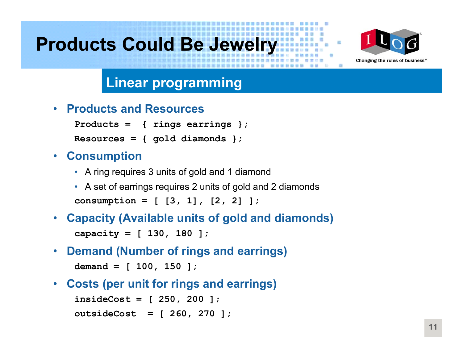### **Products Could Be Jewelry**



#### **Linear programming**

• **Products and Resources**

```
Products = { rings earrings };
```

```
Resources = { gold diamonds };
```
#### •**Consumption**

- A ring requires 3 units of gold and 1 diamond
- A set of earrings requires 2 units of gold and 2 diamonds **consumption = [ [3, 1], [2, 2] ];**
- • **Capacity (Available units of gold and diamonds) capacity = [ 130, 180 ];**
- $\bullet$ **Demand (Number of rings and earrings)**

**demand = [ 100, 150 ];**

•**Costs (per unit for rings and earrings)**

```
insideCost
= [ 250, 200 ];
outsideCost = [ 260, 270 ];
```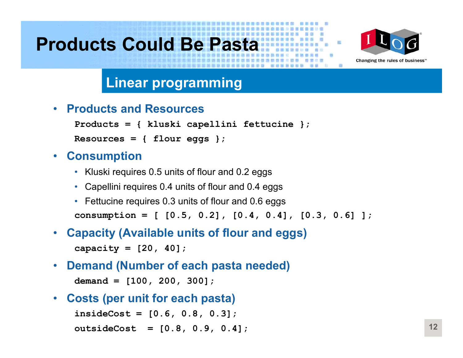### **Products Could Be Pasta**



#### **Linear programming**

 $\bullet$ **Products and Resources**

```
Products = { kluski capellini fettucine };
Resources = { flour eggs };
```
#### $\bullet$ **Consumption**

- Kluski requires 0.5 units of flour and 0.2 eggs
- Capellini requires 0.4 units of flour and 0.4 eggs
- Fettucine requires 0.3 units of flour and 0.6 eggs **consumption = [ [0.5, 0.2], [0.4, 0.4], [0.3, 0.6] ];**
- $\bullet$  **Capacity (Available units of flour and egg s ) capacity = [20, 40];**
- • **Demand (Number of each pasta needed) demand = [100, 200, 300];**
- $\bullet$ **Costs (per unit for each pasta)**

**insideCost = [0.6, 0.8, 0.3]; outsideCost = [0.8, 0.9, 0.4];**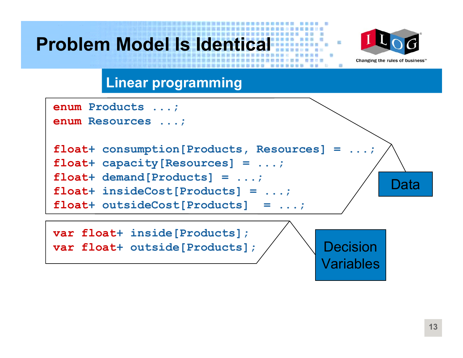### **Problem Model Is Identical**



**Linear programming**

| enum Products ;                                      |
|------------------------------------------------------|
| enum Resources ;                                     |
|                                                      |
| float+ consumption [Products, Resources] = $\dots$ ; |
| float+ capacity [Resources] = $\dots$ ;              |
| $float+ demand[Products] = ;$                        |
| $float+ insideCost[Products] = ;$                    |
| float+ outsideCost[Products] = $\dots$ ;             |
|                                                      |

**var float+ inside[Products]; var float+ outside[Products];**

Decision**Variables**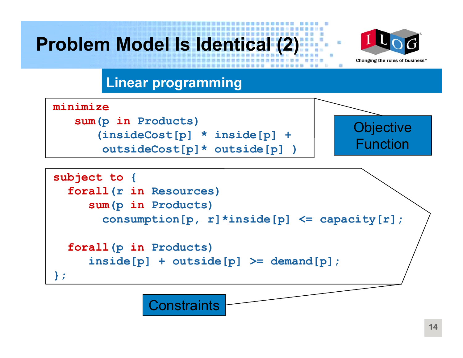### **Problem Model Is Identical (2)**



#### **Linear programming**

**Constraints** 



**};**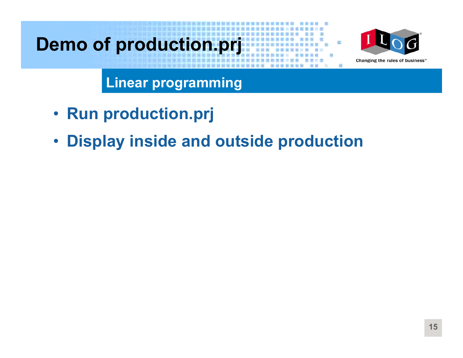## **Demo of production.prj**



**Linear programming**

- **Run production.prj**
- **Display inside and outside production**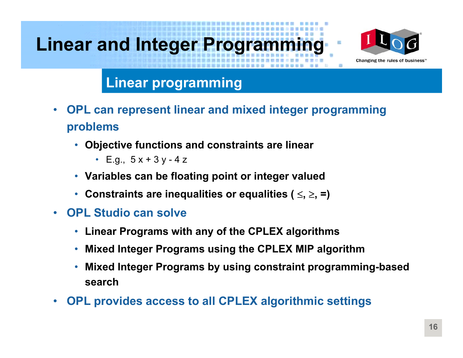# **Linear and Integer Programming**



#### **Linear programming**

- • **OPL can represent linear and mixed integer programming problems**
	- **Objective functions and constraints are linear**
		- E.g., 5 x + 3 y 4 z
	- **Variables can be floating point or integer valued**
	- **Constraints are inequalities or equalities (**  <sup>≤</sup>**,** ≥**, =)**
- • **OPL Studio can solve**
	- **Linear Programs with any of the CPLEX algorithms**
	- $\bullet$ **Mixed Integer Programs using the CPLEX MIP algorithm**
	- • **Mixed Integer Programs by using constraint programming-based search**
- •**OPL provides access to all CPLEX algorithmic settings**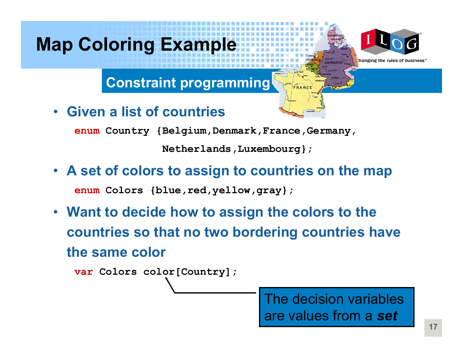### **Map Coloring Example**



Changing the rules of

#### **Constraint programming**

•**Given a list of countries**

**enum Country {Belgium,Denmark,France,Germany,**

**Netherlands,Luxembourg};**

- **A set of colors to assign to countries on the map enum Colors {blue,red,yellow,gray};**
- **Want to decide how to assign the colors to the countries so that no two bordering countries have the same color**

**var Colors color[Country];**

The decision variables are values from a *set*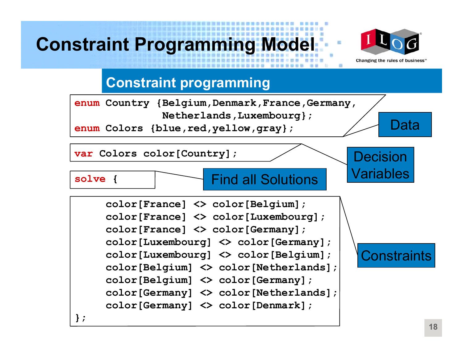### **Constraint Programming Model**



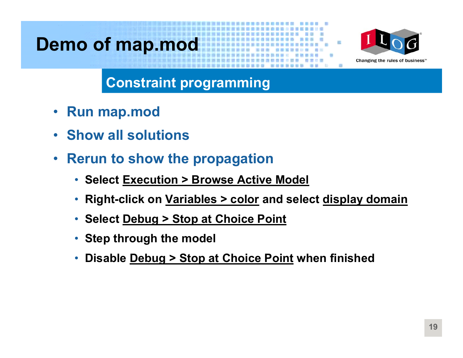### **Demo of map.mod**



- •**Run map.mod**
- •**Show all solutions**
- $\bullet$  **Rerun to show the propagation**
	- **Select Execution > Browse Active Model**
	- •**Right-click on Variables > color and select display domain**
	- **Select Debug > Stop at Choice Point**
	- **Step through the model**
	- •**Disable Debug > Stop at Choice Point when finis hed**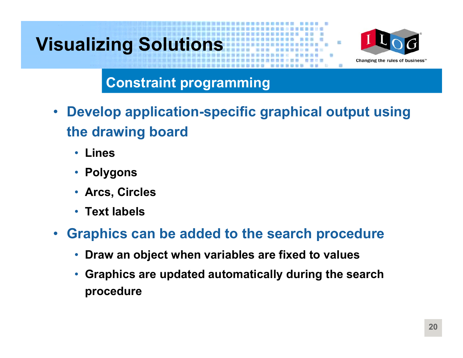# **Visualizing Solutions**



- $\bullet$  **Develop application-specific graphical output using the drawing board**
	- $\bullet$ **Lines**
	- $\bullet$ **Polygons**
	- **Arcs, Circles**
	- **Text labels**
- $\bullet$  **Graphics can be added to the search procedure**
	- •**Draw an object when variables are fixed to values**
	- •**• Graphics are updated automatically during the search procedure**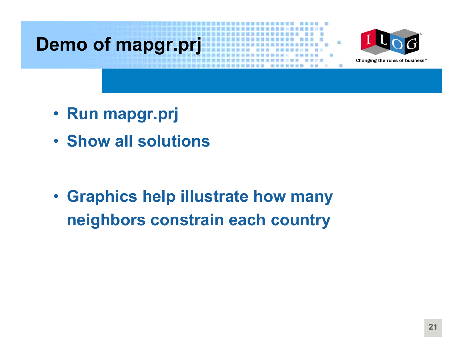### **Demo of mapgr.prj**



- **Run mapgr.prj**
- **Show all solutions**

• **Graphics help illustrate how many neighbors constrain each country**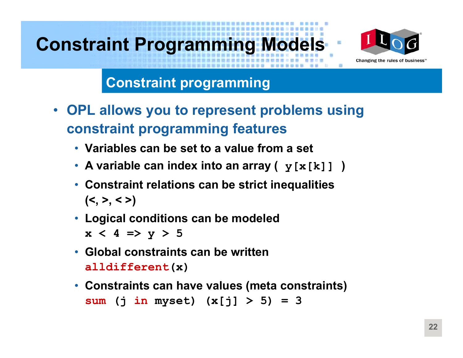### **Constraint Programming Models**



#### **Constraint programming**

- $\bullet$  **OPL allows you to represent problems using constraint programming features**
	- **Variables can be set to a value from a set**
	- **A variable can index into an array ( y[x[k]] )**
	- **Constraint relations can be strict inequalities (<, >, < >)**
	- **Logical conditions can be modeled**

 $x < 4 \Rightarrow y > 5$ 

- **Global constraints can be written alldifferent(x)**
- **Constraints can have values (meta constraints) sum (j in myset) (x[j] > 5) = 3**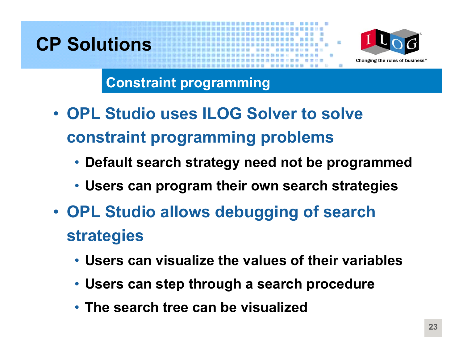### **CP Solutions**



- **OPL Studio uses ILOG Solver to solve constraint programming problems**
	- **Default search strategy need not be programmed**
	- **Users can program their own search strategies**
- **OPL Studio allows debugging of search strategies**
	- **Users can visualize the values of their variables**
	- **Users can step through a search procedure**
	- **The search tree can be visualized**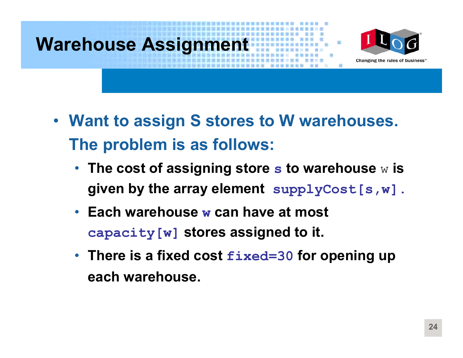### **Warehouse Assignment**



- **Want to assign S stores to W warehouses. The problem is as follows:**
	- **The cost of assigning store s to war ehouse**  w **is given by the array element supplyCost[s,w].**
	- **Each warehouse w can have at most capacity[w] stores assigned to it.**
	- **There is a fixed cost fixed=30 for opening up each warehouse.**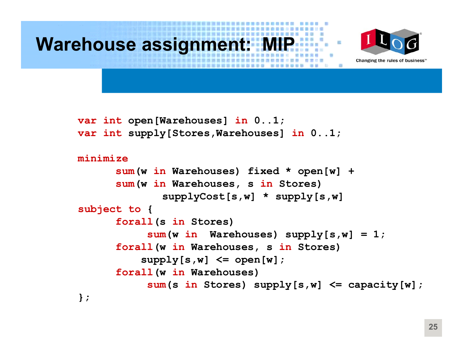

```
sum(w in Warehouses) fixed * open[w] +
      sum(w in Warehouses, s in Stores) 
             supplyCost[s,w] * supply[s,w]
subject to
{
      forall(s in Stores)
           sum(w in Warehouses) supply[s,w] = 1;
      forall(w in Warehouses, s in Stores)
          supply[s,w] \leq open[w];
      forall(w in Warehouses)
           sum(s in Stores) supply[s,w] <= capacity[w];
};
```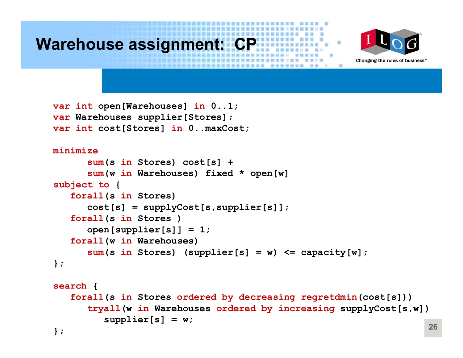



```
var int open[Warehouses] in 0..1;
var Warehouses supplier[Stores];
var int cost[Stores] in 0..maxCost;
```

```
minimizesum(s in Stores) cost[s] + 
      sum(w in Warehouses) fixed * open[w]
subject to {
   forall(s in Stores)
      cost[s] = supplyCost[s,supplier[s]];
   forall(s in Stores )
      open[supplier[s]] = 1;
   forall(w in Warehouses)
      sum(s in Stores) (supplier[s] = w) <= capacity[w];
};
```

```
search {
  forall(s in Stores ordered by decreasing regretdmin(cost[s]))
      tryall(w in Warehouses ordered
by increasing supplyCost[s,
w])
         supplier[s] = w;
};
```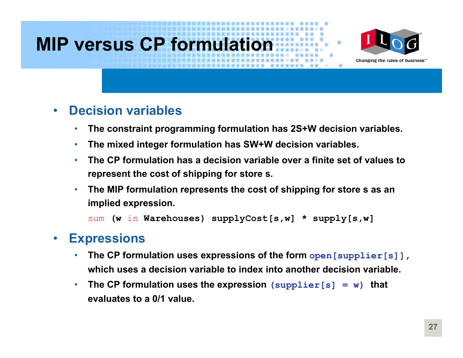### **MIP versus CP formulation**



#### $\bullet$ **Decision variables**

- •**The constraint progra mming formulation has 2S+W decision variables.**
- •**The mixed integer formulation has SW+W decision variables.**
- • **The CP formulation has a decision variable over a finite set of values to represent the cost of shipping for store s.**
- • **The MIP formulation represents the cost of shipping f or store s as an implied expression.**

```
sum (w in Warehouses) supplyCost[s,w] * supply[s,w]
```
#### •**Expressions**

- • **The CP formulation uses expressions of the f orm open[supplier[s]], which uses a decision variable to index into another decision variable.**
- • **The CP formulation uses the expression (supplier[s] = w) that evaluates to a 0/1 value.**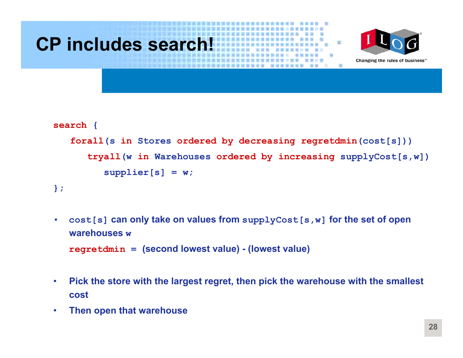

- • **cost[s] can only take on values f rom supplyCost[s,w] for the set of open warehouses wregretdmin <sup>=</sup>(second lowest value) - (lowest value)**
- •• Pick the store with the largest regret, then pick the warehouse with the smallest **cost**
- •**Then open that warehouse**

**};**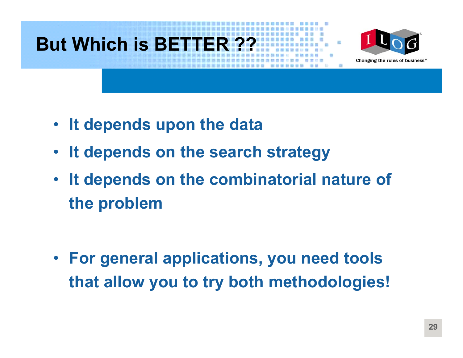### **But Which is BETTER ??**



- **It depends upon the data**
- $\bullet$ **It depends on the search strategy**
- • **It depends on the combinatorial nature of the problem**

• **For general applications, you need tools that allow you to try both methodologies!**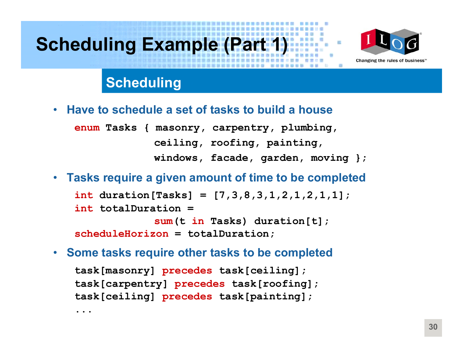### **Scheduling Example (Part 1)**



#### **Scheduling**

•**Have to schedule a set of tasks to build a house**

**enum Tasks { masonry, carpentry, plumbing, ceiling, roofing, painting, windows, facade, garden, moving };**

 $\bullet$ **Tasks require a given amount of time to be completed**

**int duration[Tasks] = [7,3,8,3,1,2,1,2,1,1]; int totalDuration <sup>=</sup> sum(t in Tasks) duration[t]; scheduleHorizon = totalDuration;**

 $\bullet$ **Some tasks require other tasks to be completed**

**task[masonry] precedes task[ceiling]; task[carpentry] precedes task[roofing]; task[ceiling] precedes task[painting];**

**...**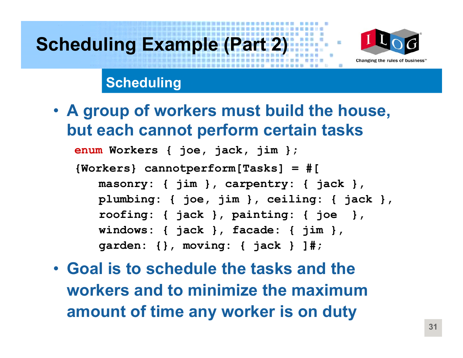# **Scheduling Example (Part 2)**



### **Scheduling**

• **A group of workers must build the house, but each cannot perform certain tasks**

**enum Workers { joe, jack, jim };**

**{Workers} cannotperform[Tasks] = #[**

**masonry: { jim }, carpentry: { jack }, plumbing: { joe, jim }, ceiling: { jack }, roofing: { jack }, painting: { joe }, windows: { jack }, facade: { jim }, garden: {}, moving: { jack } ]#;**

• **Goal is to schedule the tasks and the workers and to minimize the maximum amount of time any worker is on duty**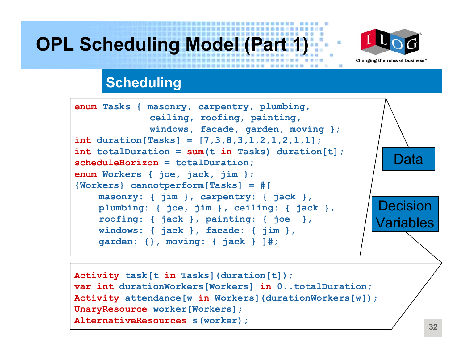### **OPL Scheduling Model (Part 1)**



#### **Scheduling**

```
enum Tasks { masonry, carpentry, plumbing,
             ceiling, roofing, painting,
             windows, facade, garden, moving };
int duration[Tasks] = [7,3,8,3,1,2,1,2,1,1];
int totalDuration = sum(t in Tasks) duration[t];
scheduleHorizon = totalDuration;
enum Workers { joe, jack, jim };
{Workers} cannotperform[Tasks] = #[
    masonry: { jim }, carpentry: { jack },
    plumbing: { joe, jim }, ceiling: { jack },
    roofing: { jack }, painting: { joe },
    windows: { jack }, facade: { jim },
    garden: {}, moving: { jack } ]#;
                                                         DataDecision
                                                      Variables
```

```
Activity task[t in Tasks](duration[t]);
var int durationWorkers[Workers] in 0..totalDuration;
Activity attendance[w in Workers](durationWorkers[w]); 
UnaryResource worker[Workers];
AlternativeResources s(worker);
```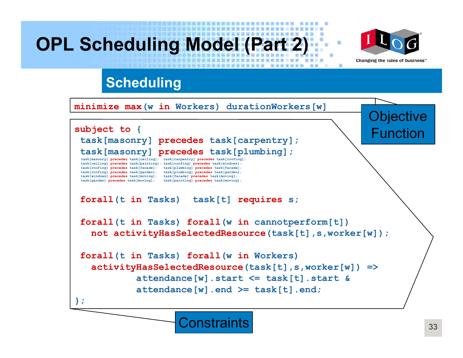### **OPL Scheduling Model (Part 2)**



**Objective** 

Function

#### **Scheduling**

**minimizemax(w in Workers) durationWorkers[w]**

**subject to {**

**task[masonry] precedes task[carpentry]; task[masonry] precedes task[plumbing];**

**task[masonry] precedes task[ceiling]; task[carpentry] precedes task[roofing]; task[ceiling] precedes task[painting]; task[roofing] precedes task[windows]; task[roofing] precedes task[facade]; task[plumbing] precedes task[facade]; task[roofing] precedes task[garden]; task[plumbing] precedes task[garden]; task[windows] precedes task[moving]; task[facade] precedes task[moving]; task[garden] precedes task[moving]; task[painting] precedes task[moving];**

#### **forall(t in Tasks) task[t] requires s;**

**forall(t in Tasks) forall(w in cannotperform[t]) not activityHasSelectedResource(task[t],s,worker[w]);**

**forall(t in Tasks) forall(w in Workers) activityHasSelectedResource(task[t],s,worker[w]) => attendance[w].start <= task[t].start &attendance[w].end >= task[t].end;**

**};**

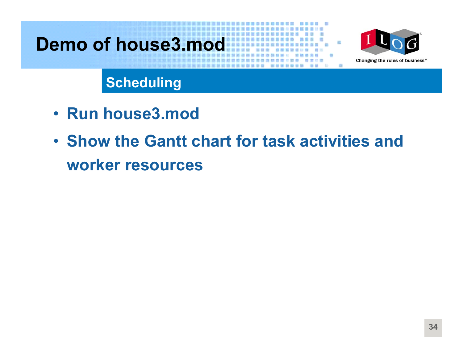### **Demo of house3.mod**



**Scheduling**

- **Run house3.mod**
- **Show the Gantt chart for task activities and worker resources**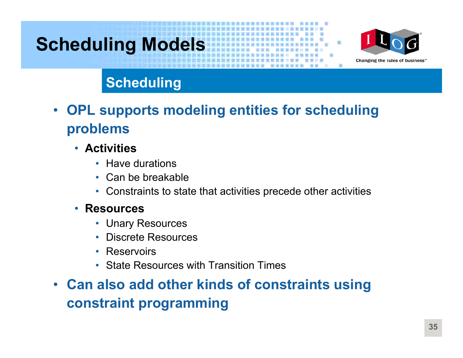### **Scheduling Models**



#### **Scheduling**

- $\bullet$  **OPL supports modeling entities for scheduling problems**
	- **Activities**
		- Have durations
		- Can be breakable
		- Constraints to state that activities precede other activities

#### • **Resources**

- Unary Resources
- Discrete Resources
- Reservoirs
- State Resources with Transition Times
- **Can also add other kinds of constraints using constraint programming**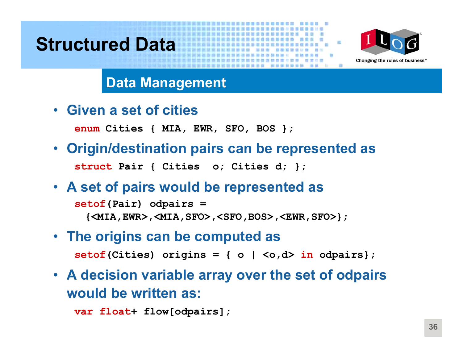### **Structured Data**



#### **Data Management**

• **Given a set of cities**

**enum Cities { MIA, EWR, SFO, BOS };**

- $\bullet$  **Origin/destination pairs can be represented as struct Pair { Cities o; Cities d; };**
- **A set of pairs would be represented as**

**setof(Pair) odpairs <sup>=</sup> {<MIA,EWR>,<MIA,SFO>,<SFO,BOS>,<EWR,SFO>};**

- **The origins can be computed as setof(Cities) origins = { o | <o,d> in odpairs};**
- **A decision variable array over the set of odpairs would be written as:**

**var float+ flow[odpairs];**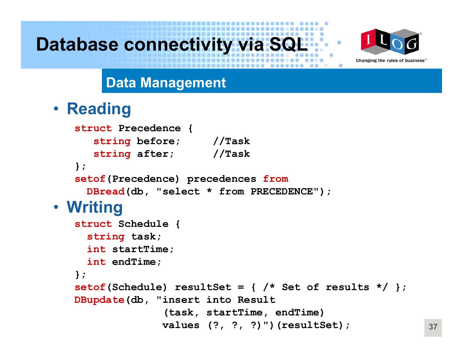### **Database connectivity via SQI**



#### **Data Management**

### • **Reading**

```
struct Precedence {
      string before; //Task
      string after; //Task
   };
   setof(Precedence) precedences from
     DBread(db, "select * from PRECEDENCE");
• Writing
   struct Schedule {
     string task;
     int startTime;
     int endTime;
   };
   setof(Schedule) resultSet = { /* Set of results */ };
   DBupdate(db, "insert into Result 
                 (task, startTime, endTime)
                 values (?, ?, ?)")(resultSet);
```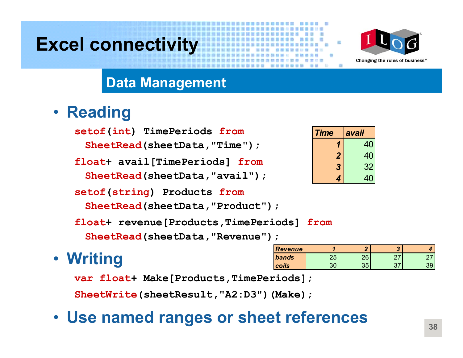### **Excel connectivity**



#### **Data Management**

### • **Reading**

**setof(int) TimePeriods from**

**SheetRead(sheetData,"Time");**

**float+ avail[TimePeriods] from**

**SheetRead(sheetData,"avail");**

**setof(string) Products from**

**SheetRead(sheetData,"Product");**

**float+ revenue[Products,TimePeriods] from**

**SheetRead(sheetData,"Revenue");**

### • **Writing**

| <b>Revenue</b> |         |    | e. |  |
|----------------|---------|----|----|--|
| bands          | つに<br>w | റമ |    |  |
| coils          |         | ≘∼ |    |  |

**var float+ Make[Products,TimePeriods];**

**SheetWrite(sheetResult,"A2:D3")(Make);**

### • **Use named ranges or sheet references**

| <b>Time</b>    | avail |
|----------------|-------|
|                | 40    |
| $\overline{2}$ | 40    |
| 3              | 32    |
|                | 40    |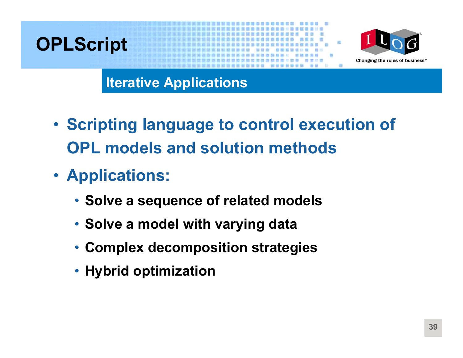### **OPLScript**



**Iterative Applications**

- **Scripting language to control execution of OPL models and solution methods**
- **Applications:**
	- **Solve a sequence of related models**
	- **Solve a model with varying data**
	- **Complex decomposition strategies**
	- **Hybrid optimization**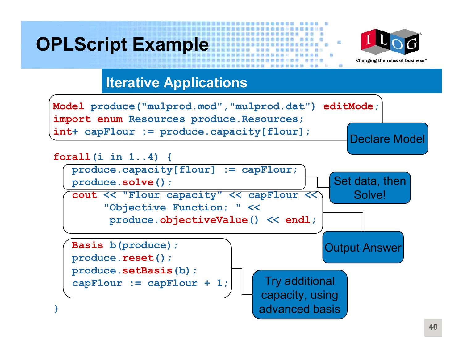### **OPLScript Example**



#### **Iterative Applications**

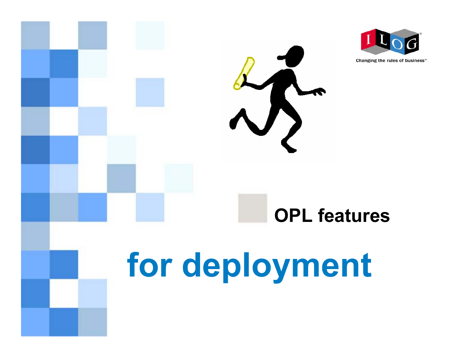

Changing the rules of business<sup>®</sup>

# **for deployment**

**OPL features**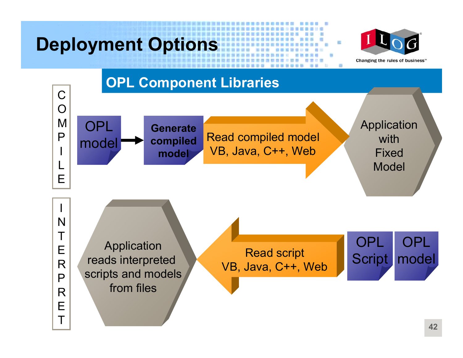# **Deployment Options**



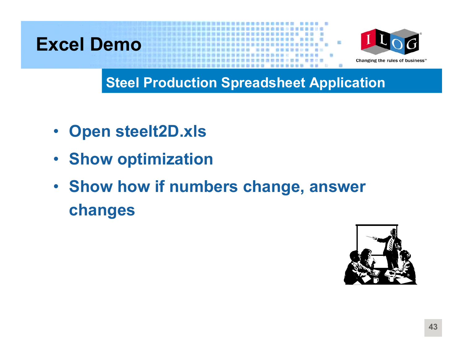



#### **Steel Production Spreadsheet Application**

- $\bullet$ **Open steelt2D.xls**
- **Show optimization**
- **Show how if numbers change, answer changes**

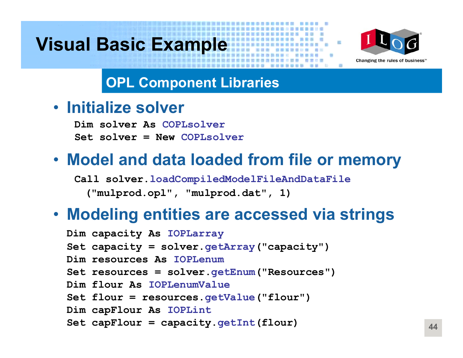### **Visual Basic Example**



### **OPL Component Libraries**

• **Initialize solver**

**Dim solver As COPLsolverSet solver = New COPLsolver**

### • **Model and data loaded from file or memory**

**Call solver.loadCompiledModelFileAndDataFile ("mulprod.opl", "mulprod.dat", 1)**

### • **Modeling entities are accessed via strings**

- **Dim capacity As IOPLarray**
- **Set capacity = solver.getArray("capacity")**
- **Dim resources As IOPLenum**
- **Set resources = solver.getEnum("Resources")**
- **Dim flour As IOPLenumValue**
- **Set flour = resources.getValue("flour")**
- **Dim capFlour As IOPLint**
- **Set capFlour = capacity.getInt(flour)**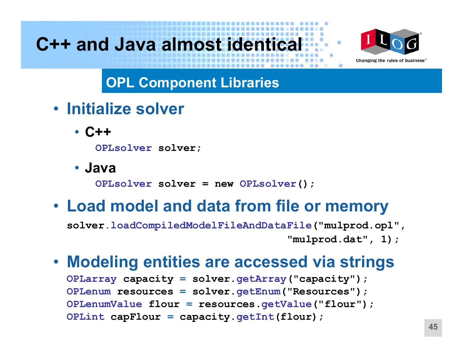### **C++ and Java almost identical**



**OPL Component Libraries**

- **Initialize solver**
	- **C++**

**OPLsolver solver;**

• **Java**

**OPLsolver solver = new OPLsolver();**

### • **Load model and data from file or memory**

**solver.loadCompiledModelFileAndDataFile("mulprod.opl", "mulprod.dat", 1);**

### • **Modeling entities are accessed via strings**

**OPLarray capacity = solver.getArray("capacity"); OPLenum resources = solver.getEnum("Resources"); OPLenumValue flour = resources.getValue("flour"); OPLint capFlour = capacity.getInt(flour);**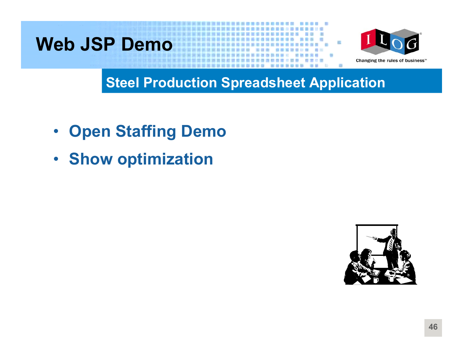### **Web JSP Demo**



### **Steel Production Spreadsheet Application**

- $\bullet$ **Open Staffing Demo**
- **Show optimization**

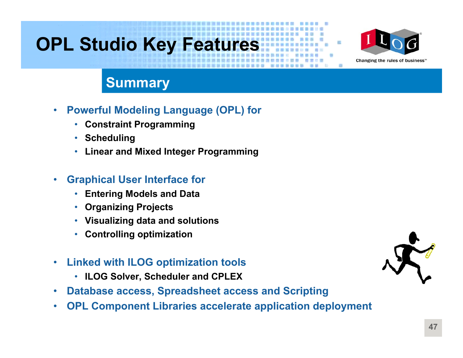### **OPL Studio Key Features**



#### **Summary**

- $\bullet$  **Powerful Modeling Language (OPL) for**
	- **Constraint Programming**
	- **Scheduling**
	- **Linear and Mixed Integer Programming**

#### •**Graphical User Interface for**

- **Entering Models and Data**
- **Organizing Projects**
- **Visualizing data and solutions**
- **Controlling optimization**
- $\bullet$  **Linked with ILOG optimization tools**
	- **ILOG Solver, Scheduler and CPLEX**
- $\bullet$ **Database access, Spreadsheet access and Scripting**
- $\bullet$ **OPL Component Libraries accelerate application deployment**

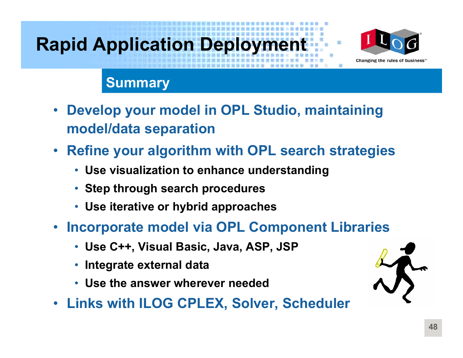# **Rapid Application Deployment**



#### **Summary**

- $\bullet$  **Develop your model in OPL Studio, maintaining model/data separation**
- • **Refine your algorithm with OPL search strategies**
	- **Use visualization to enhance understanding**
	- **Step through search procedures**
	- **Use iterative or hybrid approaches**
- **Incorporate model via OPL Component Libraries**
	- **Use C++, Visual Basic, Java, ASP, JSP**
	- •**Integrate external data**
	- **Use the answer wherever needed**
- **Links with ILOG CPLEX, Solver, Scheduler**